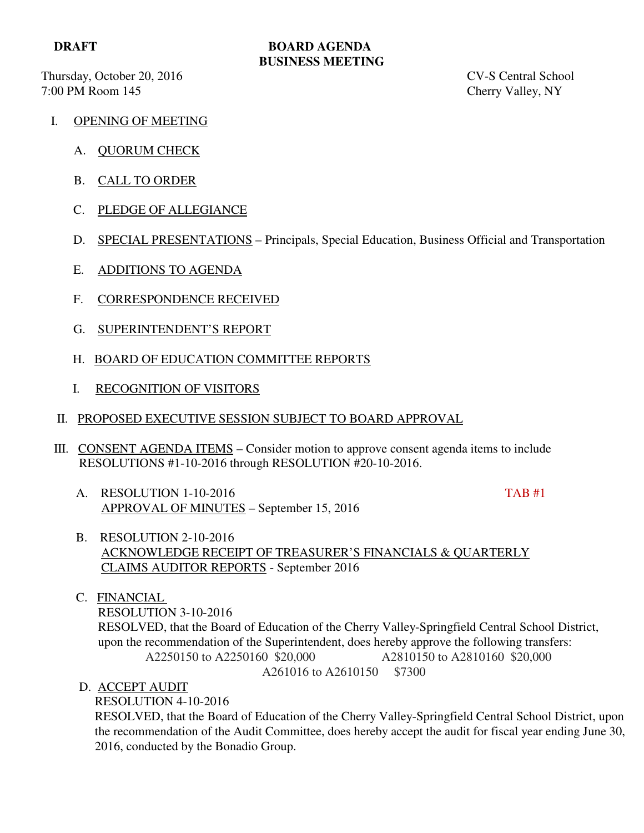Thursday, October 20, 2016 CV-S Central School 7:00 PM Room 145 Cherry Valley, NY

### **DRAFT BOARD AGENDA BUSINESS MEETING**

- I. OPENING OF MEETING
	- A. QUORUM CHECK
	- B. CALL TO ORDER
	- C. PLEDGE OF ALLEGIANCE
	- D. SPECIAL PRESENTATIONS Principals, Special Education, Business Official and Transportation
	- E. ADDITIONS TO AGENDA
	- F. CORRESPONDENCE RECEIVED
	- G. SUPERINTENDENT'S REPORT
	- H. BOARD OF EDUCATION COMMITTEE REPORTS
	- I. RECOGNITION OF VISITORS
- II. PROPOSED EXECUTIVE SESSION SUBJECT TO BOARD APPROVAL
- III. CONSENT AGENDA ITEMS Consider motion to approve consent agenda items to include RESOLUTIONS #1-10-2016 through RESOLUTION #20-10-2016.
	- A. RESOLUTION 1-10-2016 TAB #1 APPROVAL OF MINUTES – September 15, 2016

- B. RESOLUTION 2-10-2016 ACKNOWLEDGE RECEIPT OF TREASURER'S FINANCIALS & QUARTERLY CLAIMS AUDITOR REPORTS - September 2016
- C. FINANCIAL

 RESOLUTION 3-10-2016 RESOLVED, that the Board of Education of the Cherry Valley-Springfield Central School District, upon the recommendation of the Superintendent, does hereby approve the following transfers: A2250150 to A2250160 \$20,000 A2810150 to A2810160 \$20,000 A261016 to A2610150 \$7300

D. ACCEPT AUDIT

RESOLUTION 4-10-2016

 RESOLVED, that the Board of Education of the Cherry Valley-Springfield Central School District, upon the recommendation of the Audit Committee, does hereby accept the audit for fiscal year ending June 30, 2016, conducted by the Bonadio Group.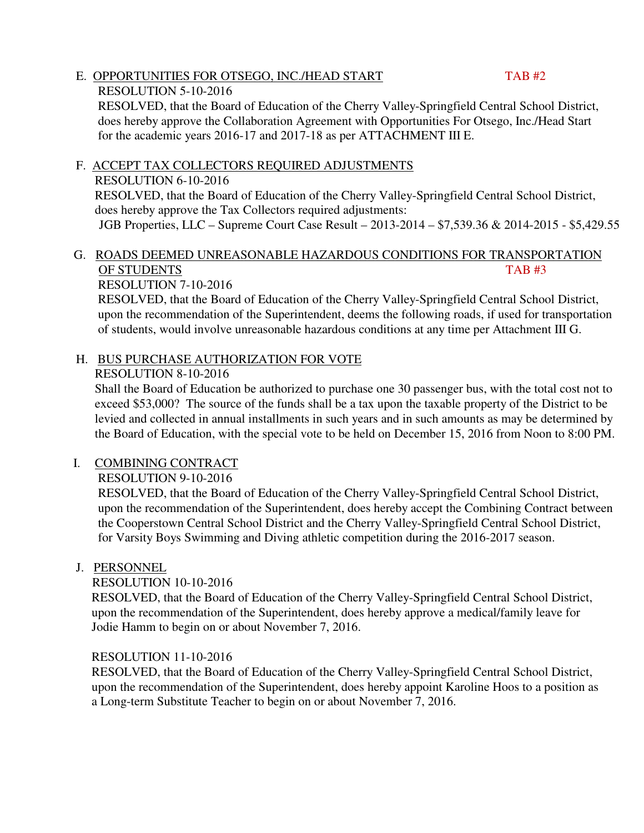#### E. OPPORTUNITIES FOR OTSEGO, INC./HEAD START TAB #2 RESOLUTION 5-10-2016

 RESOLVED, that the Board of Education of the Cherry Valley-Springfield Central School District, does hereby approve the Collaboration Agreement with Opportunities For Otsego, Inc./Head Start for the academic years 2016-17 and 2017-18 as per ATTACHMENT III E.

# F. ACCEPT TAX COLLECTORS REQUIRED ADJUSTMENTS

# RESOLUTION 6-10-2016

 RESOLVED, that the Board of Education of the Cherry Valley-Springfield Central School District, does hereby approve the Tax Collectors required adjustments:

JGB Properties, LLC – Supreme Court Case Result – 2013-2014 – \$7,539.36 & 2014-2015 - \$5,429.55

## G. ROADS DEEMED UNREASONABLE HAZARDOUS CONDITIONS FOR TRANSPORTATION OF STUDENTS TAB #3

### RESOLUTION 7-10-2016

 RESOLVED, that the Board of Education of the Cherry Valley-Springfield Central School District, upon the recommendation of the Superintendent, deems the following roads, if used for transportation of students, would involve unreasonable hazardous conditions at any time per Attachment III G.

# H. BUS PURCHASE AUTHORIZATION FOR VOTE

### RESOLUTION 8-10-2016

 Shall the Board of Education be authorized to purchase one 30 passenger bus, with the total cost not to exceed \$53,000? The source of the funds shall be a tax upon the taxable property of the District to be levied and collected in annual installments in such years and in such amounts as may be determined by the Board of Education, with the special vote to be held on December 15, 2016 from Noon to 8:00 PM.

# I. COMBINING CONTRACT

# RESOLUTION 9-10-2016

 RESOLVED, that the Board of Education of the Cherry Valley-Springfield Central School District, upon the recommendation of the Superintendent, does hereby accept the Combining Contract between the Cooperstown Central School District and the Cherry Valley-Springfield Central School District, for Varsity Boys Swimming and Diving athletic competition during the 2016-2017 season.

### J. PERSONNEL

### RESOLUTION 10-10-2016

 RESOLVED, that the Board of Education of the Cherry Valley-Springfield Central School District, upon the recommendation of the Superintendent, does hereby approve a medical/family leave for Jodie Hamm to begin on or about November 7, 2016.

### RESOLUTION 11-10-2016

 RESOLVED, that the Board of Education of the Cherry Valley-Springfield Central School District, upon the recommendation of the Superintendent, does hereby appoint Karoline Hoos to a position as a Long-term Substitute Teacher to begin on or about November 7, 2016.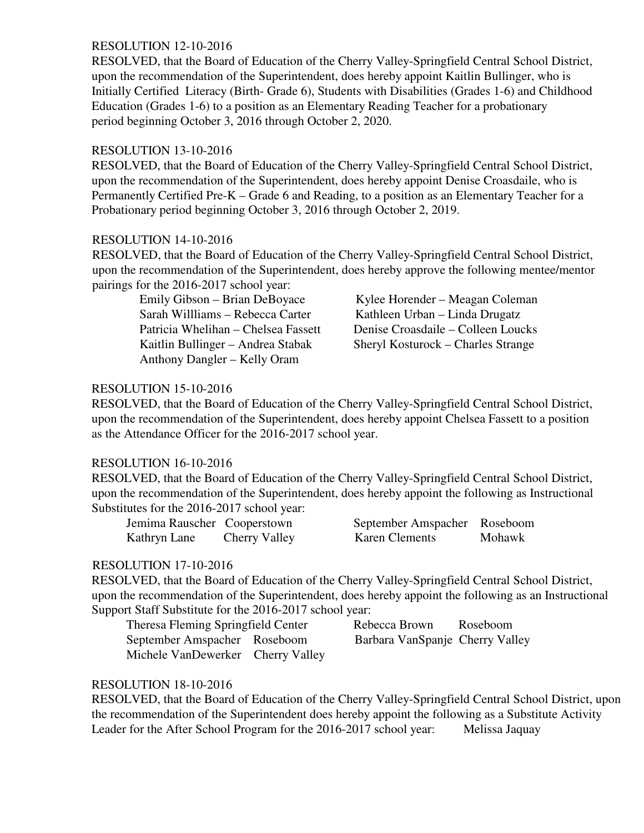#### RESOLUTION 12-10-2016

 RESOLVED, that the Board of Education of the Cherry Valley-Springfield Central School District, upon the recommendation of the Superintendent, does hereby appoint Kaitlin Bullinger, who is Initially Certified Literacy (Birth- Grade 6), Students with Disabilities (Grades 1-6) and Childhood Education (Grades 1-6) to a position as an Elementary Reading Teacher for a probationary period beginning October 3, 2016 through October 2, 2020.

#### RESOLUTION 13-10-2016

 RESOLVED, that the Board of Education of the Cherry Valley-Springfield Central School District, upon the recommendation of the Superintendent, does hereby appoint Denise Croasdaile, who is Permanently Certified Pre-K – Grade 6 and Reading, to a position as an Elementary Teacher for a Probationary period beginning October 3, 2016 through October 2, 2019.

#### RESOLUTION 14-10-2016

 RESOLVED, that the Board of Education of the Cherry Valley-Springfield Central School District, upon the recommendation of the Superintendent, does hereby approve the following mentee/mentor pairings for the 2016-2017 school year:

Sarah Willliams – Rebecca Carter Kathleen Urban – Linda Drugatz Anthony Dangler – Kelly Oram

Emily Gibson – Brian DeBoyace Kylee Horender – Meagan Coleman Patricia Whelihan – Chelsea Fassett Denise Croasdaile – Colleen Loucks Kaitlin Bullinger – Andrea Stabak Sheryl Kosturock – Charles Strange

#### RESOLUTION 15-10-2016

 RESOLVED, that the Board of Education of the Cherry Valley-Springfield Central School District, upon the recommendation of the Superintendent, does hereby appoint Chelsea Fassett to a position as the Attendance Officer for the 2016-2017 school year.

#### RESOLUTION 16-10-2016

 RESOLVED, that the Board of Education of the Cherry Valley-Springfield Central School District, upon the recommendation of the Superintendent, does hereby appoint the following as Instructional Substitutes for the 2016-2017 school year:

| Jemima Rauscher Cooperstown |               | September Amspacher Roseboom |        |
|-----------------------------|---------------|------------------------------|--------|
| Kathryn Lane                | Cherry Valley | <b>Karen Clements</b>        | Mohawk |

### RESOLUTION 17-10-2016

 RESOLVED, that the Board of Education of the Cherry Valley-Springfield Central School District, upon the recommendation of the Superintendent, does hereby appoint the following as an Instructional Support Staff Substitute for the 2016-2017 school year:

| Theresa Fleming Springfield Center | Rebecca Brown                   | Roseboom |
|------------------------------------|---------------------------------|----------|
| September Amspacher Roseboom       | Barbara VanSpanje Cherry Valley |          |
| Michele VanDewerker Cherry Valley  |                                 |          |

### RESOLUTION 18-10-2016

 RESOLVED, that the Board of Education of the Cherry Valley-Springfield Central School District, upon the recommendation of the Superintendent does hereby appoint the following as a Substitute Activity Leader for the After School Program for the 2016-2017 school year: Melissa Jaquay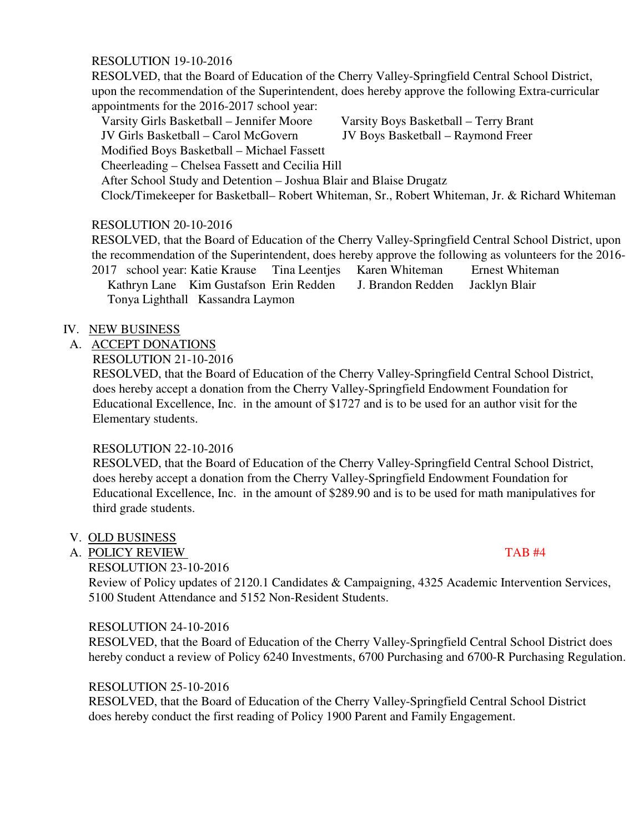#### RESOLUTION 19-10-2016

 RESOLVED, that the Board of Education of the Cherry Valley-Springfield Central School District, upon the recommendation of the Superintendent, does hereby approve the following Extra-curricular appointments for the 2016-2017 school year:

Varsity Girls Basketball – Jennifer Moore Varsity Boys Basketball – Terry Brant

JV Girls Basketball – Carol McGovern JV Boys Basketball – Raymond Freer

Modified Boys Basketball – Michael Fassett

Cheerleading – Chelsea Fassett and Cecilia Hill

After School Study and Detention – Joshua Blair and Blaise Drugatz

Clock/Timekeeper for Basketball– Robert Whiteman, Sr., Robert Whiteman, Jr. & Richard Whiteman

### RESOLUTION 20-10-2016

 RESOLVED, that the Board of Education of the Cherry Valley-Springfield Central School District, upon the recommendation of the Superintendent, does hereby approve the following as volunteers for the 2016- 2017 school year: Katie Krause Tina Leentjes Karen Whiteman Ernest Whiteman Kathryn Lane Kim Gustafson Erin Redden J. Brandon Redden Jacklyn Blair Tonya Lighthall Kassandra Laymon

#### IV. NEW BUSINESS

A. ACCEPT DONATIONS

RESOLUTION 21-10-2016

 RESOLVED, that the Board of Education of the Cherry Valley-Springfield Central School District, does hereby accept a donation from the Cherry Valley-Springfield Endowment Foundation for Educational Excellence, Inc. in the amount of \$1727 and is to be used for an author visit for the Elementary students.

### RESOLUTION 22-10-2016

 RESOLVED, that the Board of Education of the Cherry Valley-Springfield Central School District, does hereby accept a donation from the Cherry Valley-Springfield Endowment Foundation for Educational Excellence, Inc. in the amount of \$289.90 and is to be used for math manipulatives for third grade students.

### V. OLD BUSINESS

### A. POLICY REVIEW TAB #4

RESOLUTION 23-10-2016

 Review of Policy updates of 2120.1 Candidates & Campaigning, 4325 Academic Intervention Services, 5100 Student Attendance and 5152 Non-Resident Students.

#### RESOLUTION 24-10-2016

 RESOLVED, that the Board of Education of the Cherry Valley-Springfield Central School District does hereby conduct a review of Policy 6240 Investments, 6700 Purchasing and 6700-R Purchasing Regulation.

### RESOLUTION 25-10-2016

 RESOLVED, that the Board of Education of the Cherry Valley-Springfield Central School District does hereby conduct the first reading of Policy 1900 Parent and Family Engagement.